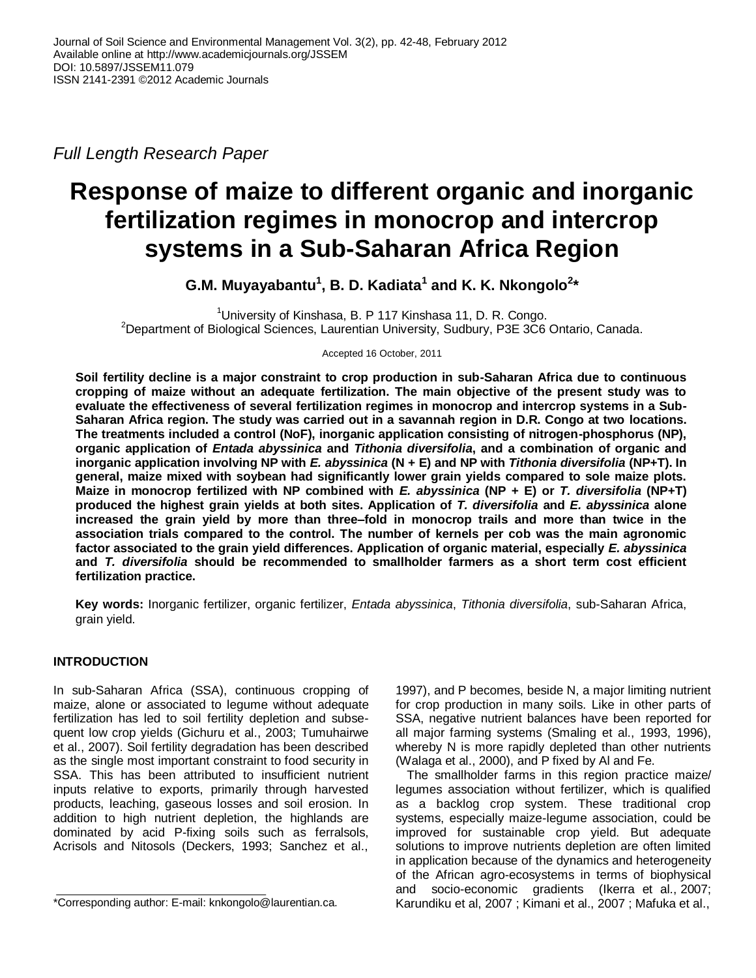*Full Length Research Paper*

# **Response of maize to different organic and inorganic fertilization regimes in monocrop and intercrop systems in a Sub-Saharan Africa Region**

**G.M. Muyayabantu<sup>1</sup> , B. D. Kadiata<sup>1</sup> and K. K. Nkongolo<sup>2</sup> \***

<sup>1</sup>University of Kinshasa, B. P 117 Kinshasa 11, D. R. Congo. <sup>2</sup>Department of Biological Sciences, Laurentian University, Sudbury, P3E 3C6 Ontario, Canada.

Accepted 16 October, 2011

**Soil fertility decline is a major constraint to crop production in sub-Saharan Africa due to continuous cropping of maize without an adequate fertilization. The main objective of the present study was to evaluate the effectiveness of several fertilization regimes in monocrop and intercrop systems in a Sub-Saharan Africa region. The study was carried out in a savannah region in D.R. Congo at two locations. The treatments included a control (NoF), inorganic application consisting of nitrogen-phosphorus (NP), organic application of** *Entada abyssinica* **and** *Tithonia diversifolia***, and a combination of organic and inorganic application involving NP with** *E. abyssinica* **(N + E) and NP with** *Tithonia diversifolia* **(NP+T). In general, maize mixed with soybean had significantly lower grain yields compared to sole maize plots. Maize in monocrop fertilized with NP combined with** *E. abyssinica* **(NP + E) or** *T. diversifolia* **(NP+T) produced the highest grain yields at both sites. Application of** *T. diversifolia* **and** *E. abyssinica* **alone increased the grain yield by more than three–fold in monocrop trails and more than twice in the association trials compared to the control. The number of kernels per cob was the main agronomic factor associated to the grain yield differences. Application of organic material, especially** *E. abyssinica* **and** *T. diversifolia* **should be recommended to smallholder farmers as a short term cost efficient fertilization practice.**

**Key words:** Inorganic fertilizer, organic fertilizer, *Entada abyssinica*, *Tithonia diversifolia*, sub-Saharan Africa, grain yield.

## **INTRODUCTION**

In sub-Saharan Africa (SSA), continuous cropping of maize, alone or associated to legume without adequate fertilization has led to soil fertility depletion and subsequent low crop yields (Gichuru et al., 2003; Tumuhairwe et al., 2007). Soil fertility degradation has been described as the single most important constraint to food security in SSA. This has been attributed to insufficient nutrient inputs relative to exports, primarily through harvested products, leaching, gaseous losses and soil erosion. In addition to high nutrient depletion, the highlands are dominated by acid P-fixing soils such as ferralsols, Acrisols and Nitosols (Deckers, 1993; Sanchez et al.,

1997), and P becomes, beside N, a major limiting nutrient for crop production in many soils. Like in other parts of SSA, negative nutrient balances have been reported for all major farming systems (Smaling et al., 1993, 1996), whereby N is more rapidly depleted than other nutrients (Walaga et al., 2000), and P fixed by Al and Fe.

The smallholder farms in this region practice maize/ legumes association without fertilizer, which is qualified as a backlog crop system. These traditional crop systems, especially maize-legume association, could be improved for sustainable crop yield. But adequate solutions to improve nutrients depletion are often limited in application because of the dynamics and heterogeneity of the African agro-ecosystems in terms of biophysical and socio-economic gradients (Ikerra et al., 2007; Karundiku et al, 2007 ; Kimani et al., 2007 ; Mafuka et al.,

<sup>\*</sup>Corresponding author: E-mail: knkongolo@laurentian.ca.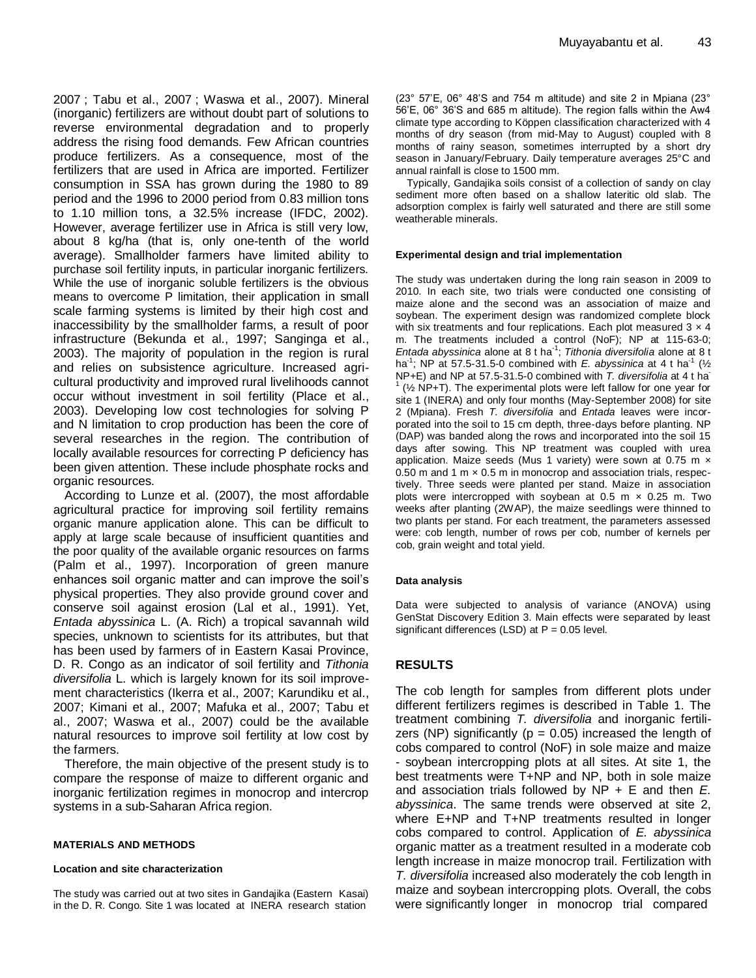2007 ; Tabu et al., 2007 ; Waswa et al., 2007). Mineral (inorganic) fertilizers are without doubt part of solutions to reverse environmental degradation and to properly address the rising food demands. Few African countries produce fertilizers. As a consequence, most of the fertilizers that are used in Africa are imported. Fertilizer consumption in SSA has grown during the 1980 to 89 period and the 1996 to 2000 period from 0.83 million tons to 1.10 million tons, a 32.5% increase (IFDC, 2002). However, average fertilizer use in Africa is still very low, about 8 kg/ha (that is, only one-tenth of the world average). Smallholder farmers have limited ability to purchase soil fertility inputs, in particular inorganic fertilizers. While the use of inorganic soluble fertilizers is the obvious means to overcome P limitation, their application in small scale farming systems is limited by their high cost and inaccessibility by the smallholder farms, a result of poor infrastructure (Bekunda et al., 1997; Sanginga et al., 2003). The majority of population in the region is rural and relies on subsistence agriculture. Increased agricultural productivity and improved rural livelihoods cannot occur without investment in soil fertility (Place et al., 2003). Developing low cost technologies for solving P and N limitation to crop production has been the core of several researches in the region. The contribution of locally available resources for correcting P deficiency has been given attention. These include phosphate rocks and organic resources.

According to Lunze et al. (2007), the most affordable agricultural practice for improving soil fertility remains organic manure application alone. This can be difficult to apply at large scale because of insufficient quantities and the poor quality of the available organic resources on farms (Palm et al., 1997). Incorporation of green manure enhances soil organic matter and can improve the soil's physical properties. They also provide ground cover and conserve soil against erosion (Lal et al., 1991). Yet, *Entada abyssinica* L. (A. Rich) a tropical savannah wild species, unknown to scientists for its attributes, but that has been used by farmers of in Eastern Kasai Province, D. R. Congo as an indicator of soil fertility and *Tithonia diversifolia* L. which is largely known for its soil improvement characteristics (Ikerra et al., 2007; Karundiku et al., 2007; Kimani et al., 2007; Mafuka et al., 2007; Tabu et al., 2007; Waswa et al., 2007) could be the available natural resources to improve soil fertility at low cost by the farmers.

Therefore, the main objective of the present study is to compare the response of maize to different organic and inorganic fertilization regimes in monocrop and intercrop systems in a sub-Saharan Africa region.

#### **MATERIALS AND METHODS**

#### **Location and site characterization**

The study was carried out at two sites in Gandajika (Eastern Kasai) in the D. R. Congo. Site 1 was located at INERA research station

(23° 57'E, 06° 48'S and 754 m altitude) and site 2 in Mpiana (23° 56'E, 06° 36'S and 685 m altitude). The region falls within the Aw4 climate type according to Köppen classification characterized with 4 months of dry season (from mid-May to August) coupled with 8 months of rainy season, sometimes interrupted by a short dry season in January/February. Daily temperature averages 25°C and annual rainfall is close to 1500 mm.

Typically, Gandajika soils consist of a collection of sandy on clay sediment more often based on a shallow lateritic old slab. The adsorption complex is fairly well saturated and there are still some weatherable minerals.

#### **Experimental design and trial implementation**

The study was undertaken during the long rain season in 2009 to 2010. In each site, two trials were conducted one consisting of maize alone and the second was an association of maize and soybean. The experiment design was randomized complete block with six treatments and four replications. Each plot measured  $3 \times 4$ m. The treatments included a control (NoF); NP at 115-63-0; *Entada abyssinica* alone at 8 t ha-1 ; *Tithonia diversifolia* alone at 8 t ha<sup>-1</sup>; NP at 57.5-31.5-0 combined with *E. abyssinica* at 4 t ha<sup>-1</sup> ( $\frac{1}{2}$ NP+E) and NP at 57.5-31.5-0 combined with *T. diversifolia* at 4 t ha-1 (½ NP+T). The experimental plots were left fallow for one year for site 1 (INERA) and only four months (May-September 2008) for site 2 (Mpiana). Fresh *T. diversifolia* and *Entada* leaves were incorporated into the soil to 15 cm depth, three-days before planting. NP (DAP) was banded along the rows and incorporated into the soil 15 days after sowing. This NP treatment was coupled with urea application. Maize seeds (Mus 1 variety) were sown at 0.75 m x 0.50 m and 1 m × 0.5 m in monocrop and association trials, respectively. Three seeds were planted per stand. Maize in association plots were intercropped with soybean at 0.5 m  $\times$  0.25 m. Two weeks after planting (2WAP), the maize seedlings were thinned to two plants per stand. For each treatment, the parameters assessed were: cob length, number of rows per cob, number of kernels per cob, grain weight and total yield.

#### **Data analysis**

Data were subjected to analysis of variance (ANOVA) using GenStat Discovery Edition 3. Main effects were separated by least significant differences (LSD) at  $P = 0.05$  level.

## **RESULTS**

The cob length for samples from different plots under different fertilizers regimes is described in Table 1. The treatment combining *T. diversifolia* and inorganic fertilizers (NP) significantly ( $p = 0.05$ ) increased the length of cobs compared to control (NoF) in sole maize and maize - soybean intercropping plots at all sites. At site 1, the best treatments were T+NP and NP, both in sole maize and association trials followed by NP + E and then *E. abyssinica*. The same trends were observed at site 2, where E+NP and T+NP treatments resulted in longer cobs compared to control. Application of *E. abyssinica*  organic matter as a treatment resulted in a moderate cob length increase in maize monocrop trail. Fertilization with *T. diversifolia* increased also moderately the cob length in maize and soybean intercropping plots. Overall, the cobs were significantly longer in monocrop trial compared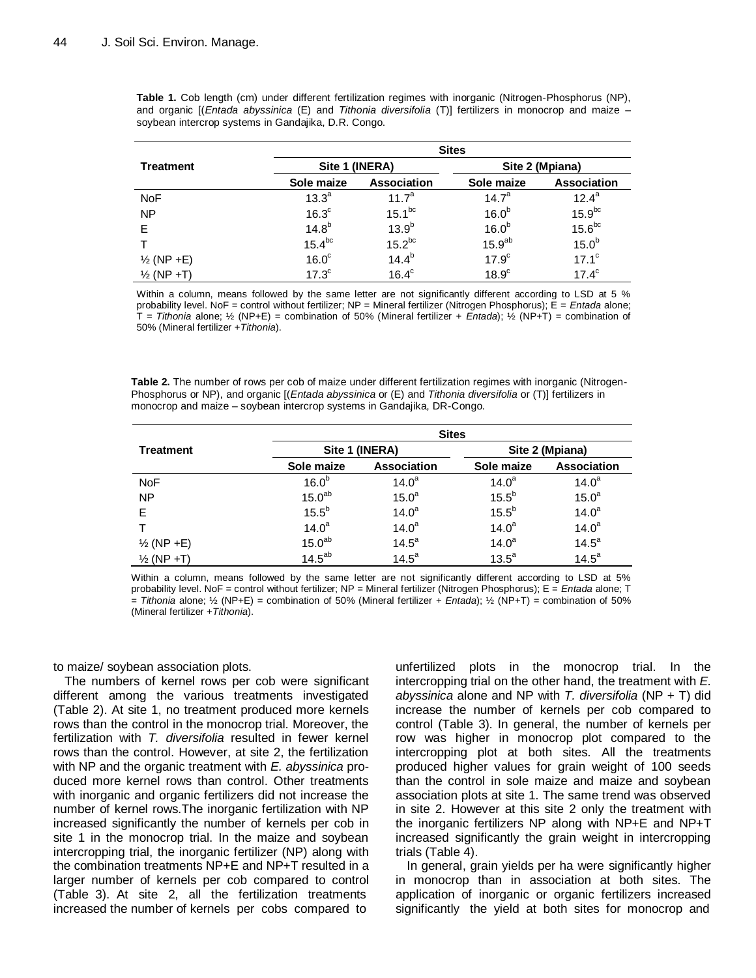**Table 1.** Cob length (cm) under different fertilization regimes with inorganic (Nitrogen-Phosphorus (NP), and organic [(*Entada abyssinica* (E) and *Tithonia diversifolia* (T)] fertilizers in monocrop and maize – soybean intercrop systems in Gandajika, D.R. Congo.

|                       | <b>Sites</b>      |                    |                    |                    |  |
|-----------------------|-------------------|--------------------|--------------------|--------------------|--|
| <b>Treatment</b>      | Site 1 (INERA)    |                    | Site 2 (Mpiana)    |                    |  |
|                       | Sole maize        | Association        | Sole maize         | <b>Association</b> |  |
| <b>NoF</b>            | 13.3 <sup>a</sup> | 11.7 <sup>a</sup>  | 14.7 <sup>a</sup>  | $12.4^a$           |  |
| <b>NP</b>             | 16.3 <sup>c</sup> | 15.1 <sup>bc</sup> | 16.0 <sup>b</sup>  | $15.9^{bc}$        |  |
| Е                     | $14.8^{b}$        | 13.9 <sup>b</sup>  | 16.0 <sup>b</sup>  | $15.6^{bc}$        |  |
|                       | $15.4^{bc}$       | $15.2^{bc}$        | 15.9 <sup>ab</sup> | 15.0 <sup>b</sup>  |  |
| $\frac{1}{2}$ (NP +E) | 16.0 <sup>c</sup> | $14.4^{b}$         | 17.9 <sup>c</sup>  | $17.1^{\circ}$     |  |
| $\frac{1}{2}$ (NP +T) | 17.3 <sup>c</sup> | $16.4^c$           | $18.9^\circ$       | $17.4^{\circ}$     |  |

Within a column, means followed by the same letter are not significantly different according to LSD at 5 % probability level. NoF = control without fertilizer; NP = Mineral fertilizer (Nitrogen Phosphorus); E = *Entada* alone; T = *Tithonia* alone; ½ (NP+E) = combination of 50% (Mineral fertilizer + *Entada*); ½ (NP+T) = combination of 50% (Mineral fertilizer +*Tithonia*).

**Table 2.** The number of rows per cob of maize under different fertilization regimes with inorganic (Nitrogen-Phosphorus or NP), and organic [(*Entada abyssinica* or (E) and *Tithonia diversifolia* or (T)] fertilizers in monocrop and maize – soybean intercrop systems in Gandajika, DR-Congo.

|                       | <b>Sites</b>       |                    |                   |                    |
|-----------------------|--------------------|--------------------|-------------------|--------------------|
| <b>Treatment</b>      | Site 1 (INERA)     |                    | Site 2 (Mpiana)   |                    |
|                       | Sole maize         | <b>Association</b> | Sole maize        | <b>Association</b> |
| <b>NoF</b>            | 16.0 <sup>b</sup>  | $14.0^a$           | $14.0^a$          | $14.0^a$           |
| <b>NP</b>             | 15.0 <sup>ab</sup> | 15.0 <sup>a</sup>  | $15.5^{b}$        | 15.0 <sup>a</sup>  |
| E                     | $15.5^{b}$         | $14.0^a$           | $15.5^{b}$        | $14.0^a$           |
|                       | $14.0^a$           | $14.0^a$           | 14.0 <sup>a</sup> | 14.0 <sup>a</sup>  |
| $\frac{1}{2}$ (NP +E) | 15.0 <sup>ab</sup> | 14.5 <sup>a</sup>  | $14.0^a$          | 14.5 <sup>a</sup>  |
| $\frac{1}{2}$ (NP +T) | $14.5^{ab}$        | 14.5 <sup>a</sup>  | $13.5^a$          | 14.5 <sup>a</sup>  |

Within a column, means followed by the same letter are not significantly different according to LSD at 5% probability level. NoF = control without fertilizer; NP = Mineral fertilizer (Nitrogen Phosphorus); E = *Entada* alone; T  $=$  *Tithonia* alone;  $\frac{1}{2}$  (NP+E) = combination of 50% (Mineral fertilizer + *Entada*);  $\frac{1}{2}$  (NP+T) = combination of 50% (Mineral fertilizer +*Tithonia*).

to maize/ soybean association plots.

The numbers of kernel rows per cob were significant different among the various treatments investigated (Table 2). At site 1, no treatment produced more kernels rows than the control in the monocrop trial. Moreover, the fertilization with *T. diversifolia* resulted in fewer kernel rows than the control. However, at site 2, the fertilization with NP and the organic treatment with *E. abyssinica* produced more kernel rows than control. Other treatments with inorganic and organic fertilizers did not increase the number of kernel rows.The inorganic fertilization with NP increased significantly the number of kernels per cob in site 1 in the monocrop trial. In the maize and soybean intercropping trial, the inorganic fertilizer (NP) along with the combination treatments NP+E and NP+T resulted in a larger number of kernels per cob compared to control (Table 3). At site 2, all the fertilization treatments increased the number of kernels per cobs compared to

unfertilized plots in the monocrop trial. In the intercropping trial on the other hand, the treatment with *E. abyssinica* alone and NP with *T. diversifolia* (NP + T) did increase the number of kernels per cob compared to control (Table 3). In general, the number of kernels per row was higher in monocrop plot compared to the intercropping plot at both sites. All the treatments produced higher values for grain weight of 100 seeds than the control in sole maize and maize and soybean association plots at site 1. The same trend was observed in site 2. However at this site 2 only the treatment with the inorganic fertilizers NP along with NP+E and NP+T increased significantly the grain weight in intercropping trials (Table 4).

In general, grain yields per ha were significantly higher in monocrop than in association at both sites. The application of inorganic or organic fertilizers increased significantly the yield at both sites for monocrop and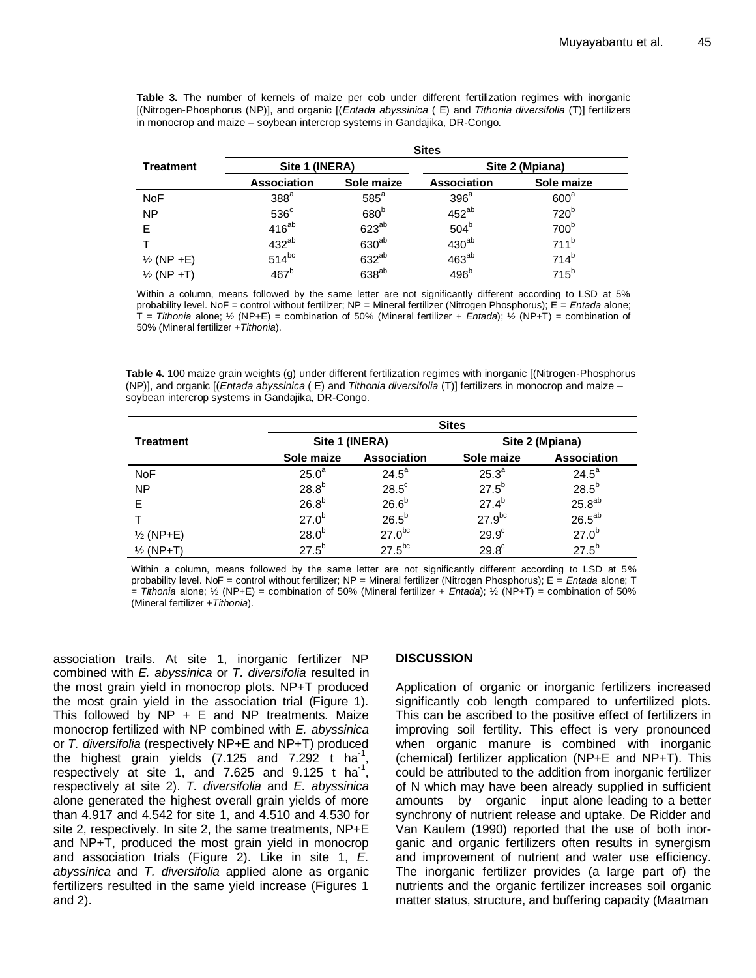|                       | <b>Sites</b>       |                   |                  |                  |
|-----------------------|--------------------|-------------------|------------------|------------------|
| Treatment             | Site 1 (INERA)     |                   | Site 2 (Mpiana)  |                  |
|                       | <b>Association</b> | Sole maize        | Association      | Sole maize       |
| <b>NoF</b>            | 388 <sup>a</sup>   | $585^a$           | 396 <sup>a</sup> | 600 <sup>a</sup> |
| <b>NP</b>             | $536^{\circ}$      | 680 <sup>b</sup>  | $452^{ab}$       | 720 <sup>b</sup> |
| F                     | $416^{ab}$         | $623^{ab}$        | 504 <sup>b</sup> | 700 <sup>b</sup> |
|                       | $432^{ab}$         | 630 <sup>ab</sup> | $430^{ab}$       | 711 <sup>b</sup> |
| $\frac{1}{2}$ (NP +E) | $514^{bc}$         | 632 <sup>ab</sup> | $463^{ab}$       | $714^{b}$        |
| $\frac{1}{2}$ (NP +T) | 467 <sup>b</sup>   | 638 <sup>ab</sup> | 496 <sup>b</sup> | $715^b$          |

**Table 3.** The number of kernels of maize per cob under different fertilization regimes with inorganic [(Nitrogen-Phosphorus (NP)], and organic [(*Entada abyssinica* ( E) and *Tithonia diversifolia* (T)] fertilizers in monocrop and maize – soybean intercrop systems in Gandajika, DR-Congo.

Within a column, means followed by the same letter are not significantly different according to LSD at 5% probability level. NoF = control without fertilizer; NP = Mineral fertilizer (Nitrogen Phosphorus); E = *Entada* alone; T = *Tithonia* alone; ½ (NP+E) = combination of 50% (Mineral fertilizer + *Entada*); ½ (NP+T) = combination of 50% (Mineral fertilizer +*Tithonia*).

**Table 4.** 100 maize grain weights (g) under different fertilization regimes with inorganic [(Nitrogen-Phosphorus (NP)], and organic [(*Entada abyssinica* ( E) and *Tithonia diversifolia* (T)] fertilizers in monocrop and maize – soybean intercrop systems in Gandajika, DR-Congo.

|                      | <b>Sites</b>      |                    |                   |                    |
|----------------------|-------------------|--------------------|-------------------|--------------------|
| <b>Treatment</b>     | Site 1 (INERA)    |                    | Site 2 (Mpiana)   |                    |
|                      | Sole maize        | <b>Association</b> | Sole maize        | <b>Association</b> |
| <b>NoF</b>           | 25.0 <sup>a</sup> | $24.5^a$           | 25.3 <sup>a</sup> | $24.5^a$           |
| <b>NP</b>            | $28.8^{b}$        | $28.5^{\circ}$     | $27.5^{b}$        | $28.5^{b}$         |
| Е                    | 26.8 <sup>b</sup> | 26.6 <sup>b</sup>  | $27.4^{b}$        | $25.8^{ab}$        |
|                      | $27.0^{b}$        | $26.5^b$           | $27.9^{bc}$       | $26.5^{ab}$        |
| $\frac{1}{2}$ (NP+E) | 28.0 <sup>b</sup> | $27.0^{bc}$        | 29.9 <sup>c</sup> | $27.0^{b}$         |
| $\frac{1}{2}$ (NP+T) | $27.5^{b}$        | $27.5^{bc}$        | $29.8^{\circ}$    | $27.5^{b}$         |

Within a column, means followed by the same letter are not significantly different according to LSD at 5% probability level. NoF = control without fertilizer; NP = Mineral fertilizer (Nitrogen Phosphorus); E = *Entada* alone; T = *Tithonia* alone; ½ (NP+E) = combination of 50% (Mineral fertilizer + *Entada*); ½ (NP+T) = combination of 50% (Mineral fertilizer +*Tithonia*).

association trails. At site 1, inorganic fertilizer NP combined with *E. abyssinica* or *T. diversifolia* resulted in the most grain yield in monocrop plots. NP+T produced the most grain yield in the association trial (Figure 1). This followed by  $NP + E$  and  $NP$  treatments. Maize monocrop fertilized with NP combined with *E. abyssinica* or *T. diversifolia* (respectively NP+E and NP+T) produced the highest grain yields  $(7.125$  and  $7.292$  t ha<sup>-1</sup>, respectively at site 1, and 7.625 and 9.125 t ha<sup>-1</sup>, respectively at site 2). *T. diversifolia* and *E. abyssinica* alone generated the highest overall grain yields of more than 4.917 and 4.542 for site 1, and 4.510 and 4.530 for site 2, respectively. In site 2, the same treatments, NP+E and NP+T, produced the most grain yield in monocrop and association trials (Figure 2). Like in site 1, *E. abyssinica* and *T. diversifolia* applied alone as organic fertilizers resulted in the same yield increase (Figures 1 and 2).

## **DISCUSSION**

Application of organic or inorganic fertilizers increased significantly cob length compared to unfertilized plots. This can be ascribed to the positive effect of fertilizers in improving soil fertility. This effect is very pronounced when organic manure is combined with inorganic (chemical) fertilizer application (NP+E and NP+T). This could be attributed to the addition from inorganic fertilizer of N which may have been already supplied in sufficient amounts by organic input alone leading to a better synchrony of nutrient release and uptake. De Ridder and Van Kaulem (1990) reported that the use of both inorganic and organic fertilizers often results in synergism and improvement of nutrient and water use efficiency. The inorganic fertilizer provides (a large part of) the nutrients and the organic fertilizer increases soil organic matter status, structure, and buffering capacity (Maatman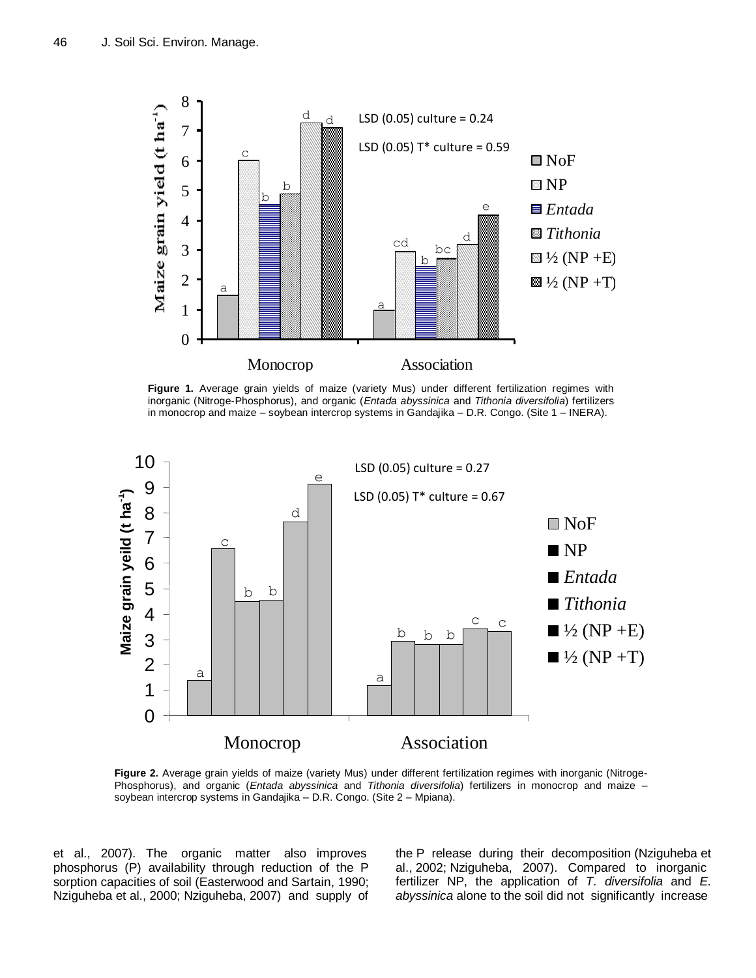

**Figure 1.** Average grain yields of maize (variety Mus) under different fertilization regimes with inorganic (Nitroge-Phosphorus), and organic (*Entada abyssinica* and *Tithonia diversifolia*) fertilizers in monocrop and maize – soybean intercrop systems in Gandajika – D.R. Congo. (Site 1 – INERA).



**Figure 2.** Average grain yields of maize (variety Mus) under different fertilization regimes with inorganic (Nitroge-Phosphorus), and organic (*Entada abyssinica* and *Tithonia diversifolia*) fertilizers in monocrop and maize – soybean intercrop systems in Gandajika – D.R. Congo. (Site 2 – Mpiana).

et al., 2007). The organic matter also improves phosphorus (P) availability through reduction of the P sorption capacities of soil (Easterwood and Sartain, 1990; Nziguheba et al., 2000; Nziguheba, 2007) and supply of the P release during their decomposition (Nziguheba et al., 2002; Nziguheba, 2007). Compared to inorganic fertilizer NP, the application of *T. diversifolia* and *E. abyssinica* alone to the soil did not significantly increase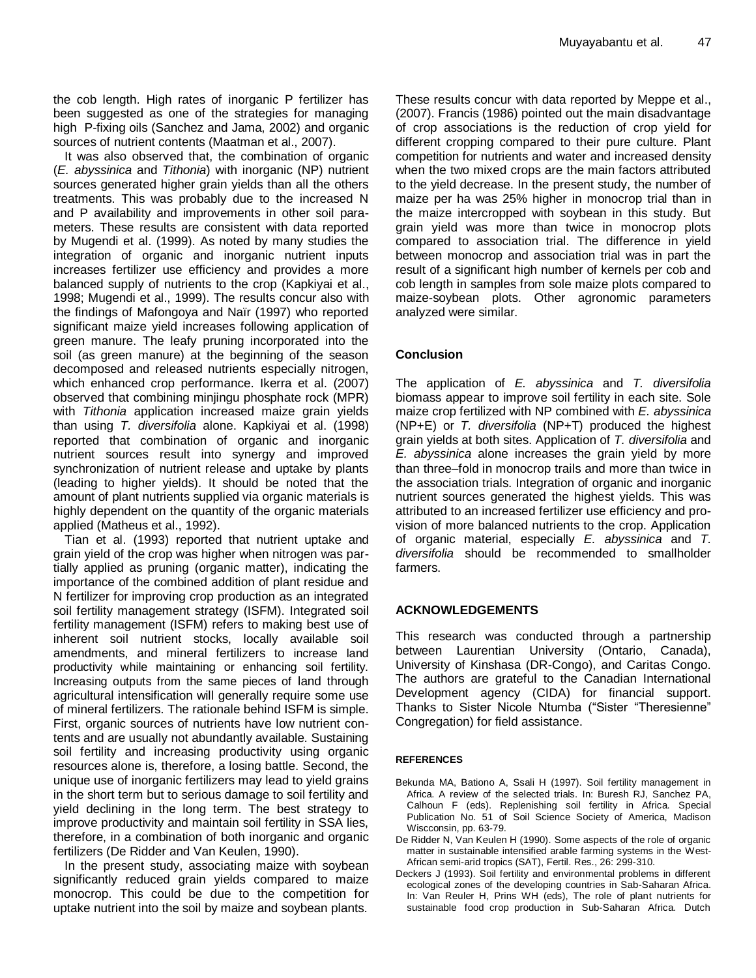the cob length. High rates of inorganic P fertilizer has been suggested as one of the strategies for managing high P-fixing oils (Sanchez and Jama, 2002) and organic sources of nutrient contents (Maatman et al., 2007).

It was also observed that, the combination of organic (*E. abyssinica* and *Tithonia*) with inorganic (NP) nutrient sources generated higher grain yields than all the others treatments. This was probably due to the increased N and P availability and improvements in other soil parameters. These results are consistent with data reported by Mugendi et al. (1999). As noted by many studies the integration of organic and inorganic nutrient inputs increases fertilizer use efficiency and provides a more balanced supply of nutrients to the crop (Kapkiyai et al., 1998; Mugendi et al., 1999). The results concur also with the findings of Mafongoya and Naïr (1997) who reported significant maize yield increases following application of green manure. The leafy pruning incorporated into the soil (as green manure) at the beginning of the season decomposed and released nutrients especially nitrogen, which enhanced crop performance. Ikerra et al. (2007) observed that combining minjingu phosphate rock (MPR) with *Tithonia* application increased maize grain yields than using *T. diversifolia* alone. Kapkiyai et al. (1998) reported that combination of organic and inorganic nutrient sources result into synergy and improved synchronization of nutrient release and uptake by plants (leading to higher yields). It should be noted that the amount of plant nutrients supplied via organic materials is highly dependent on the quantity of the organic materials applied (Matheus et al., 1992).

Tian et al. (1993) reported that nutrient uptake and grain yield of the crop was higher when nitrogen was partially applied as pruning (organic matter), indicating the importance of the combined addition of plant residue and N fertilizer for improving crop production as an integrated soil fertility management strategy (ISFM). Integrated soil fertility management (ISFM) refers to making best use of inherent soil nutrient stocks, locally available soil amendments, and mineral fertilizers to increase land productivity while maintaining or enhancing soil fertility. Increasing outputs from the same pieces of land through agricultural intensification will generally require some use of mineral fertilizers. The rationale behind ISFM is simple. First, organic sources of nutrients have low nutrient contents and are usually not abundantly available. Sustaining soil fertility and increasing productivity using organic resources alone is, therefore, a losing battle. Second, the unique use of inorganic fertilizers may lead to yield grains in the short term but to serious damage to soil fertility and yield declining in the long term. The best strategy to improve productivity and maintain soil fertility in SSA lies, therefore, in a combination of both inorganic and organic fertilizers (De Ridder and Van Keulen, 1990).

In the present study, associating maize with soybean significantly reduced grain yields compared to maize monocrop. This could be due to the competition for uptake nutrient into the soil by maize and soybean plants.

These results concur with data reported by Meppe et al., (2007). Francis (1986) pointed out the main disadvantage of crop associations is the reduction of crop yield for different cropping compared to their pure culture. Plant competition for nutrients and water and increased density when the two mixed crops are the main factors attributed to the yield decrease. In the present study, the number of maize per ha was 25% higher in monocrop trial than in the maize intercropped with soybean in this study. But grain yield was more than twice in monocrop plots compared to association trial. The difference in yield between monocrop and association trial was in part the result of a significant high number of kernels per cob and cob length in samples from sole maize plots compared to maize-soybean plots. Other agronomic parameters analyzed were similar.

## **Conclusion**

The application of *E. abyssinica* and *T. diversifolia* biomass appear to improve soil fertility in each site. Sole maize crop fertilized with NP combined with *E. abyssinica* (NP+E) or *T. diversifolia* (NP+T) produced the highest grain yields at both sites. Application of *T. diversifolia* and *E. abyssinica* alone increases the grain yield by more than three–fold in monocrop trails and more than twice in the association trials. Integration of organic and inorganic nutrient sources generated the highest yields. This was attributed to an increased fertilizer use efficiency and provision of more balanced nutrients to the crop. Application of organic material, especially *E. abyssinica* and *T. diversifolia* should be recommended to smallholder farmers.

## **ACKNOWLEDGEMENTS**

This research was conducted through a partnership between Laurentian University (Ontario, Canada), University of Kinshasa (DR-Congo), and Caritas Congo. The authors are grateful to the Canadian International Development agency (CIDA) for financial support. Thanks to Sister Nicole Ntumba ("Sister "Theresienne" Congregation) for field assistance.

#### **REFERENCES**

- Bekunda MA, Bationo A, Ssali H (1997). Soil fertility management in Africa. A review of the selected trials. In: Buresh RJ, Sanchez PA, Calhoun F (eds). Replenishing soil fertility in Africa. Special Publication No. 51 of Soil Science Society of America, Madison Wiscconsin, pp. 63-79.
- De Ridder N, Van Keulen H (1990). Some aspects of the role of organic matter in sustainable intensified arable farming systems in the West-African semi-arid tropics (SAT), Fertil. Res., 26: 299-310.
- Deckers J (1993). Soil fertility and environmental problems in different ecological zones of the developing countries in Sab-Saharan Africa. In: Van Reuler H, Prins WH (eds), The role of plant nutrients for sustainable food crop production in Sub-Saharan Africa. Dutch